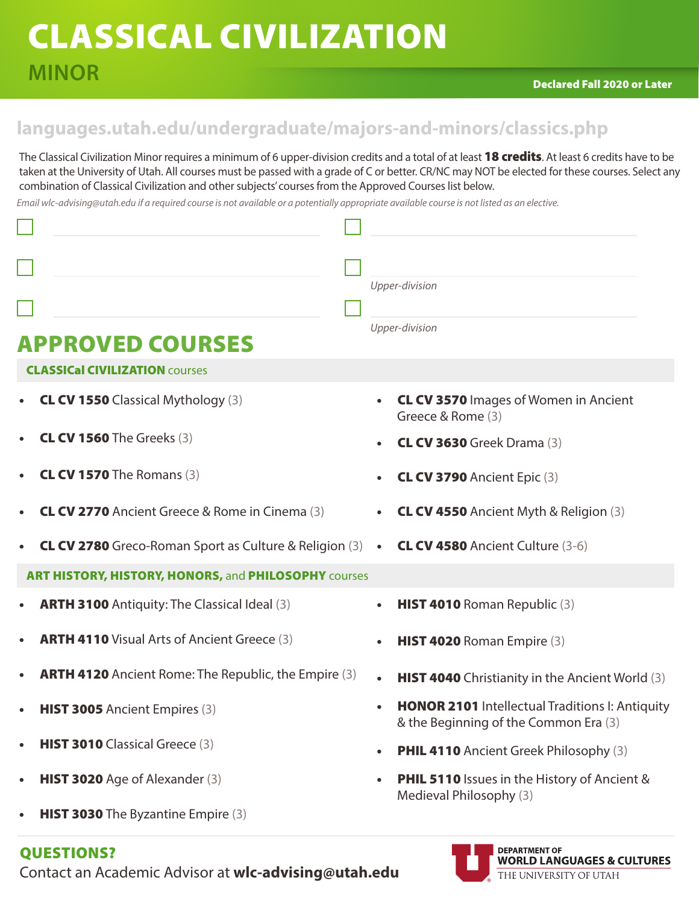## CLASSICAL CIVILIZATION **MINOR**

**DEPARTMENT OF** 

**WORLD LANGUAGES & CULTURES** 

THE UNIVERSITY OF UTAH

## **languages.utah.edu/undergraduate/majors-and-minors/classics.php**

The Classical Civilization Minor requires a minimum of 6 upper-division credits and a total of at least 18 credits. At least 6 credits have to be taken at the University of Utah. All courses must be passed with a grade of C or better. CR/NC may NOT be elected for these courses. Select any combination of Classical Civilization and other subjects' courses from the Approved Courses list below.

*Email wlc-advising@utah.edu if a required course is not available or a potentially appropriate available course is not listed as an elective.* 

|                                                                           | Upper-division                                                                                               |
|---------------------------------------------------------------------------|--------------------------------------------------------------------------------------------------------------|
|                                                                           | Upper-division                                                                                               |
| <b>APPROVED COURSES</b>                                                   |                                                                                                              |
| <b>CLASSICal CIVILIZATION COURSES</b>                                     |                                                                                                              |
| <b>CL CV 1550</b> Classical Mythology (3)                                 | <b>CL CV 3570 Images of Women in Ancient</b><br>$\bullet$<br>Greece & Rome (3)                               |
| <b>CL CV 1560</b> The Greeks (3)                                          | <b>CL CV 3630</b> Greek Drama (3)                                                                            |
| <b>CL CV 1570</b> The Romans (3)                                          | <b>CL CV 3790</b> Ancient Epic (3)                                                                           |
| <b>CL CV 2770</b> Ancient Greece & Rome in Cinema (3)                     | <b>CL CV 4550</b> Ancient Myth & Religion (3)<br>$\bullet$                                                   |
| <b>CL CV 2780</b> Greco-Roman Sport as Culture & Religion $(3)$ $\bullet$ | <b>CL CV 4580</b> Ancient Culture (3-6)                                                                      |
| ART HISTORY, HISTORY, HONORS, and PHILOSOPHY courses                      |                                                                                                              |
| <b>ARTH 3100</b> Antiquity: The Classical Ideal (3)                       | HIST 4010 Roman Republic (3)<br>$\bullet$                                                                    |
| <b>ARTH 4110 Visual Arts of Ancient Greece (3)</b>                        | HIST 4020 Roman Empire (3)<br>$\bullet$                                                                      |
| <b>ARTH 4120</b> Ancient Rome: The Republic, the Empire (3)               | <b>HIST 4040</b> Christianity in the Ancient World (3)<br>$\bullet$                                          |
| HIST 3005 Ancient Empires (3)                                             | <b>HONOR 2101</b> Intellectual Traditions I: Antiquity<br>$\bullet$<br>& the Beginning of the Common Era (3) |
| HIST 3010 Classical Greece (3)                                            | <b>PHIL 4110</b> Ancient Greek Philosophy (3)<br>$\bullet$                                                   |
| HIST 3020 Age of Alexander (3)<br>$\bullet$                               | <b>PHIL 5110</b> Issues in the History of Ancient &<br>$\bullet$<br>Medieval Philosophy (3)                  |
| <b>HIST 3030</b> The Byzantine Empire (3)                                 |                                                                                                              |

### QUESTIONS?

Contact an Academic Advisor at **wlc-advising@utah.edu**